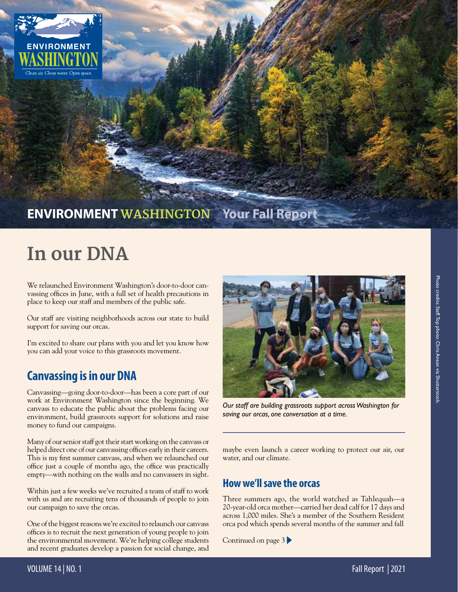

### **ENVIRONMENTWASHINGTON Your Fall Report**

# **In our DNA**

We relaunched Environment Washington's door-to-door canvassing offices in June, with a full set of health precautions in place to keep our staff and members of the public safe.

Our staff are visiting neighborhoods across our state to build support for saving our orcas.

I'm excited to share our plans with you and let you know how you can add your voice to this grassroots movement.

### **Canvassing is in our DNA**

Canvassing—going door-to-door—has been a core part of our work at Environment Washington since the beginning. We canvass to educate the public about the problems facing our environment, build grassroots support for solutions and raise money to fund our campaigns.

Many of our senior staff got their start working on the canvass or helped direct one of our canvassing offices early in their careers. This is my first summer canvass, and when we relaunched our office just a couple of months ago, the office was practically empty—with nothing on the walls and no canvassers in sight.

Within just a few weeks we've recruited a team of staff to work with us and are recruiting tens of thousands of people to join our campaign to save the orcas.

One of the biggest reasons we're excited to relaunch our canvass offices is to recruit the next generation of young people to join the environmental movement. We're helping college students and recent graduates develop a passion for social change, and



*Our staff are building grassroots support across Washington for saving our orcas, one conversation at a time.*

maybe even launch a career working to protect our air, our water, and our climate.

#### **How we'll save the orcas**

Three summers ago, the world watched as Tahlequah—a 20-year-old orca mother—carried her dead calf for 17 days and across 1,000 miles. She's a member of the Southern Resident orca pod which spends several months of the summer and fall

Continued on page 3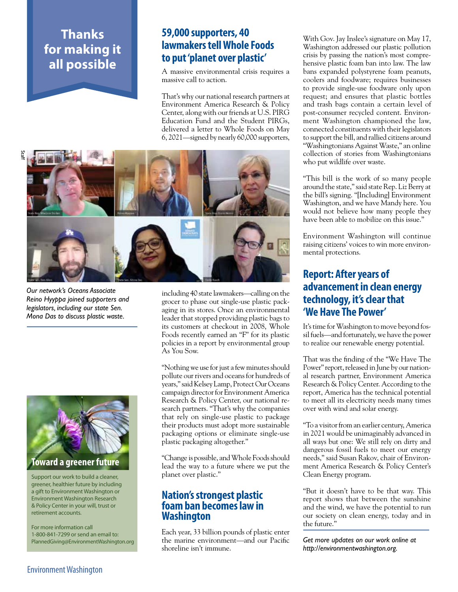### **Thanks for making it all possible**

#### **59,000 supporters, 40 lawmakers tell Whole Foods to put 'planet over plastic'**

A massive environmental crisis requires a massive call to action.

That's why our national research partners at Environment America Research & Policy Center, along with our friends at U.S. PIRG Education Fund and the Student PIRGs, delivered a letter to Whole Foods on May 6, 2021—signed by nearly 60,000 supporters,



*Our network's Oceans Associate Reino Hyyppa joined supporters and legislators, including our state Sen. Mona Das to discuss plastic waste.*



Support our work to build a cleaner, greener, healthier future by including a gift to Environment Washington or Environment Washington Research & Policy Center in your will, trust or retirement accounts.

For more information call 1-800-841-7299 or send an email to: PlannedGiving@EnvironmentWashington.org including 40 state lawmakers—calling on the grocer to phase out single-use plastic packaging in its stores. Once an environmental leader that stopped providing plastic bags to its customers at checkout in 2008, Whole Foods recently earned an "F" for its plastic policies in a report by environmental group As You Sow.

"Nothing we use for just a few minutes should pollute our rivers and oceans for hundreds of years," said Kelsey Lamp, Protect Our Oceans campaign director for Environment America Research & Policy Center, our national research partners. "That's why the companies that rely on single-use plastic to package their products must adopt more sustainable packaging options or eliminate single-use plastic packaging altogether."

"Change is possible, and Whole Foods should lead the way to a future where we put the planet over plastic."

#### **Nation's strongest plastic foam ban becomes law in Washington**

Each year, 33 billion pounds of plastic enter the marine environment—and our Pacific shoreline isn't immune.

With Gov. Jay Inslee's signature on May 17, Washington addressed our plastic pollution crisis by passing the nation's most comprehensive plastic foam ban into law. The law bans expanded polystyrene foam peanuts, coolers and foodware; requires businesses to provide single-use foodware only upon request; and ensures that plastic bottles and trash bags contain a certain level of post-consumer recycled content. Environment Washington championed the law, connected constituents with their legislators to support the bill, and rallied citizens around "Washingtonians Against Waste," an online collection of stories from Washingtonians who put wildlife over waste.

"This bill is the work of so many people around the state," said state Rep. Liz Berry at the bill's signing. "[Including] Environment Washington, and we have Mandy here. You would not believe how many people they have been able to mobilize on this issue."

Environment Washington will continue raising citizens' voices to win more environmental protections.

#### **Report: After years of advancement in clean energy technology, it's clear that 'We Have The Power'**

It's time for Washington to move beyond fossil fuels—and fortunately, we have the power to realize our renewable energy potential.

That was the finding of the "We Have The Power" report, released in June by our national research partner, Environment America Research & Policy Center. According to the report, America has the technical potential to meet all its electricity needs many times over with wind and solar energy.

"To a visitor from an earlier century, America in 2021 would be unimaginably advanced in all ways but one: We still rely on dirty and dangerous fossil fuels to meet our energy needs," said Susan Rakov, chair of Environment America Research & Policy Center's Clean Energy program.

"But it doesn't have to be that way. This report shows that between the sunshine and the wind, we have the potential to run our society on clean energy, today and in the future."

*Get more updates on our work online at http://environmentwashington.org.*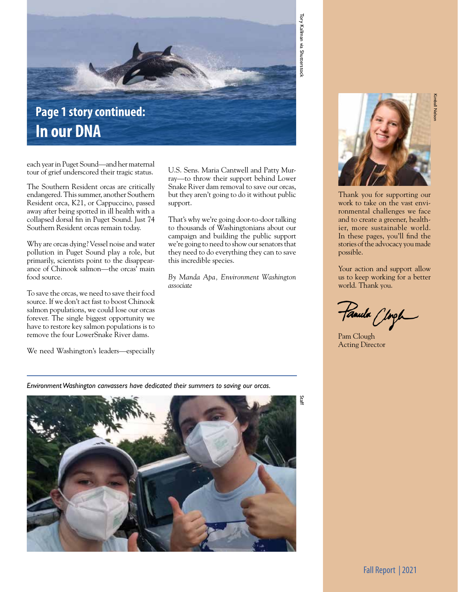

**In our DNA**

each year in Puget Sound—and her maternal tour of grief underscored their tragic status.

The Southern Resident orcas are critically endangered. This summer, another Southern Resident orca, K21, or Cappuccino, passed away after being spotted in ill health with a collapsed dorsal fin in Puget Sound. Just 74 Southern Resident orcas remain today.

Why are orcas dying? Vessel noise and water pollution in Puget Sound play a role, but primarily, scientists point to the disappearance of Chinook salmon—the orcas' main food source.

To save the orcas, we need to save their food source. If we don't act fast to boost Chinook salmon populations, we could lose our orcas forever. The single biggest opportunity we have to restore key salmon populations is to remove the four LowerSnake River dams.

We need Washington's leaders—especially

U.S. Sens. Maria Cantwell and Patty Murray—to throw their support behind Lower Snake River dam removal to save our orcas, but they aren't going to do it without public support.

That's why we're going door-to-door talking to thousands of Washingtonians about our campaign and building the public support we're going to need to show our senators that they need to do everything they can to save this incredible species.

*By Manda Apa, Environment Washington associate*

*Environment Washington canvassers have dedicated their summers to saving our orcas.*



Kimball Nelson

Thank you for supporting our work to take on the vast environmental challenges we face and to create a greener, healthier, more sustainable world. In these pages, you'll find the stories of the advocacy you made possible.

Your action and support allow us to keep working for a better world. Thank you.

Famila Clogh

Pam Clough Acting Director